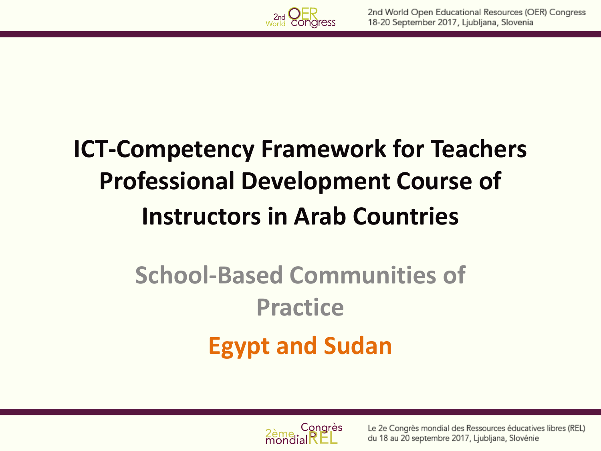

#### **ICT-Competency Framework for Teachers Professional Development Course of Instructors in Arab Countries**

## **School-Based Communities of Practice Egypt and Sudan**

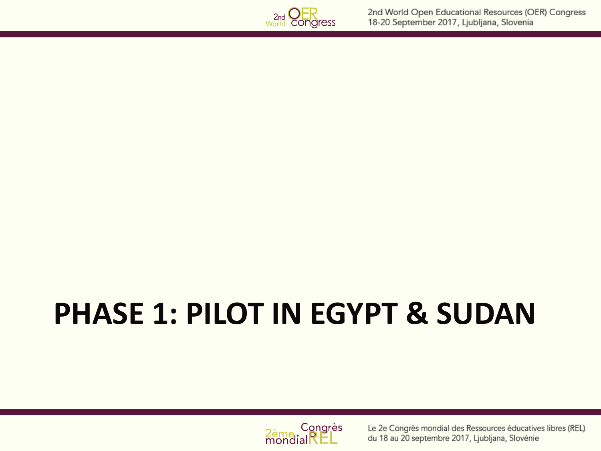

# **PHASE 1: PILOT IN EGYPT & SUDAN**



Le 2e Congrès mondial des Ressources éducatives libres (REL) du 18 au 20 septembre 2017, Ljubljana, Slovénie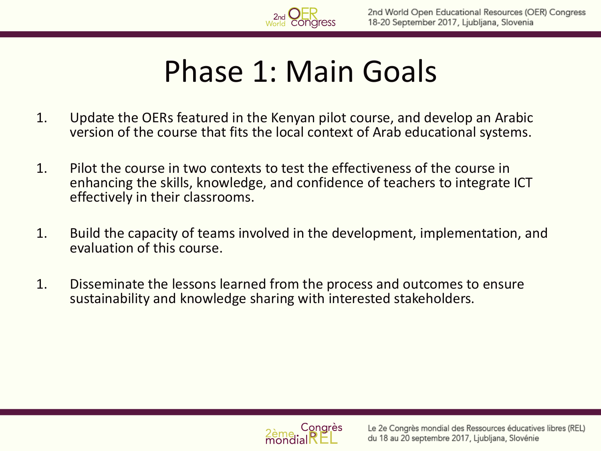#### Phase 1: Main Goals

- 1. Update the OERs featured in the Kenyan pilot course, and develop an Arabic version of the course that fits the local context of Arab educational systems.
- 1. Pilot the course in two contexts to test the effectiveness of the course in enhancing the skills, knowledge, and confidence of teachers to integrate ICT effectively in their classrooms.
- 1. Build the capacity of teams involved in the development, implementation, and evaluation of this course.
- 1. Disseminate the lessons learned from the process and outcomes to ensure sustainability and knowledge sharing with interested stakeholders.

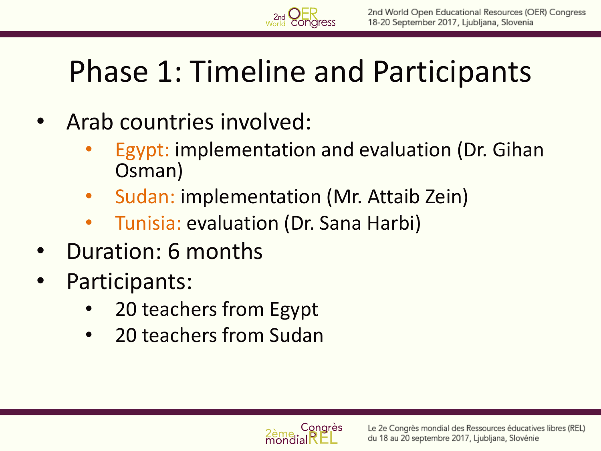

- Arab countries involved:
	- Egypt: implementation and evaluation (Dr. Gihan Osman)
	- Sudan: implementation (Mr. Attaib Zein)
	- Tunisia: evaluation (Dr. Sana Harbi)
- Duration: 6 months
- Participants:
	- 20 teachers from Egypt
	- 20 teachers from Sudan

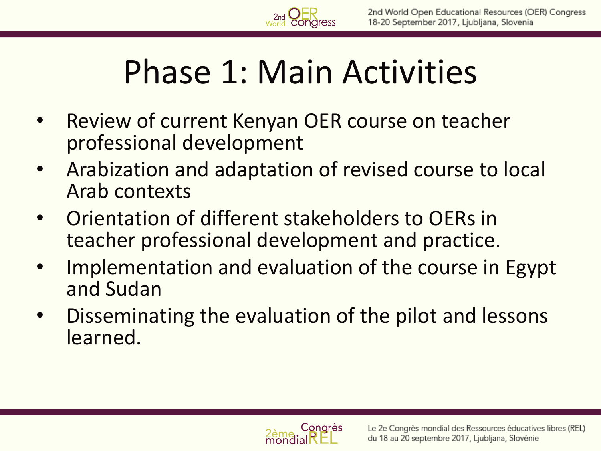# Phase 1: Main Activities

- Review of current Kenyan OER course on teacher professional development
- Arabization and adaptation of revised course to local Arab contexts
- Orientation of different stakeholders to OERs in teacher professional development and practice.
- Implementation and evaluation of the course in Egypt and Sudan
- Disseminating the evaluation of the pilot and lessons learned.

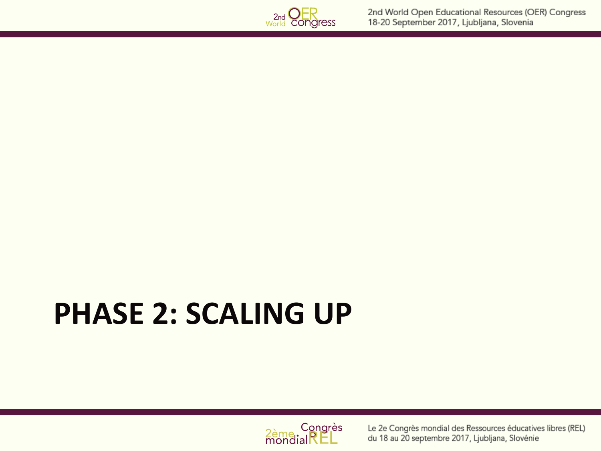

# **PHASE 2: SCALING UP**



Le 2e Congrès mondial des Ressources éducatives libres (REL) du 18 au 20 septembre 2017, Ljubljana, Slovénie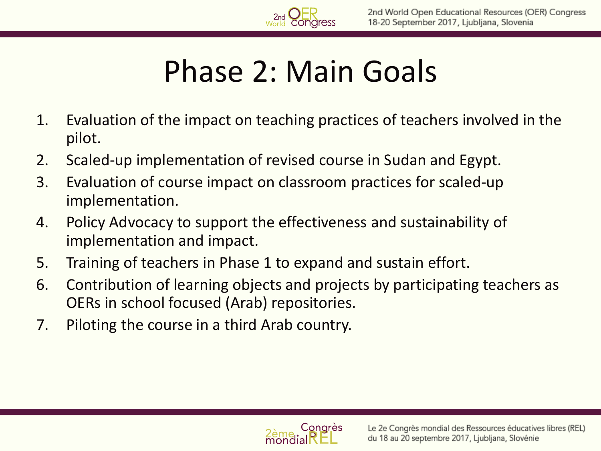### Phase 2: Main Goals

- 1. Evaluation of the impact on teaching practices of teachers involved in the pilot.
- 2. Scaled-up implementation of revised course in Sudan and Egypt.
- 3. Evaluation of course impact on classroom practices for scaled-up implementation.
- 4. Policy Advocacy to support the effectiveness and sustainability of implementation and impact.
- 5. Training of teachers in Phase 1 to expand and sustain effort.
- 6. Contribution of learning objects and projects by participating teachers as OERs in school focused (Arab) repositories.
- 7. Piloting the course in a third Arab country.

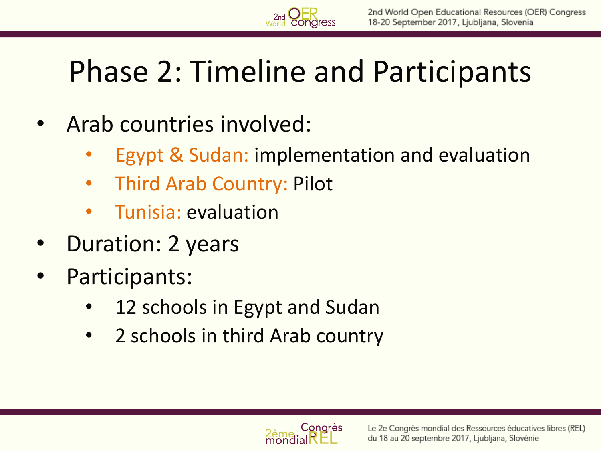

- Arab countries involved:
	- Egypt & Sudan: implementation and evaluation
	- Third Arab Country: Pilot
	- Tunisia: evaluation
- Duration: 2 years
- Participants:
	- 12 schools in Egypt and Sudan
	- 2 schools in third Arab country

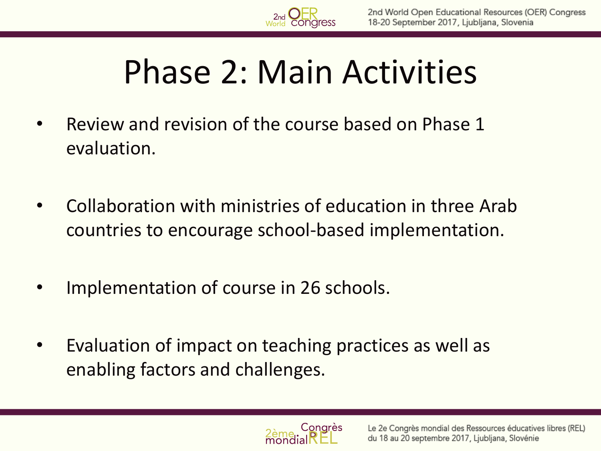## Phase 2: Main Activities

- Review and revision of the course based on Phase 1 evaluation.
- Collaboration with ministries of education in three Arab countries to encourage school-based implementation.
- Implementation of course in 26 schools.
- Evaluation of impact on teaching practices as well as enabling factors and challenges.

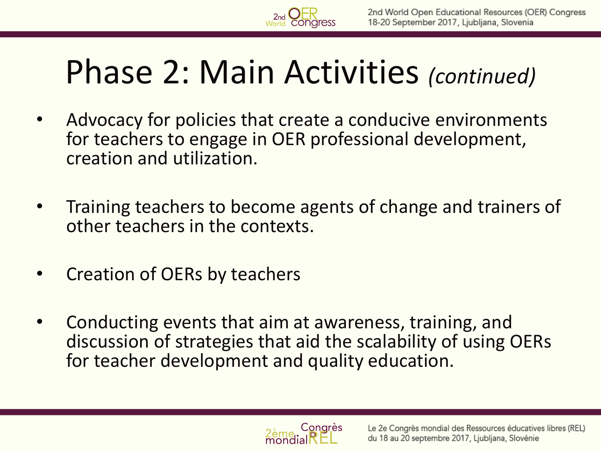## Phase 2: Main Activities *(continued)*

- Advocacy for policies that create a conducive environments for teachers to engage in OER professional development, creation and utilization.
- Training teachers to become agents of change and trainers of other teachers in the contexts.
- Creation of OERs by teachers
- Conducting events that aim at awareness, training, and discussion of strategies that aid the scalability of using OERs for teacher development and quality education.